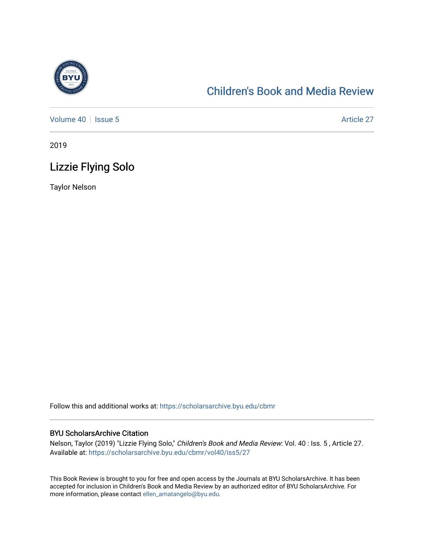

# [Children's Book and Media Review](https://scholarsarchive.byu.edu/cbmr)

[Volume 40](https://scholarsarchive.byu.edu/cbmr/vol40) | [Issue 5](https://scholarsarchive.byu.edu/cbmr/vol40/iss5) Article 27

2019

## Lizzie Flying Solo

Taylor Nelson

Follow this and additional works at: [https://scholarsarchive.byu.edu/cbmr](https://scholarsarchive.byu.edu/cbmr?utm_source=scholarsarchive.byu.edu%2Fcbmr%2Fvol40%2Fiss5%2F27&utm_medium=PDF&utm_campaign=PDFCoverPages) 

#### BYU ScholarsArchive Citation

Nelson, Taylor (2019) "Lizzie Flying Solo," Children's Book and Media Review: Vol. 40 : Iss. 5 , Article 27. Available at: [https://scholarsarchive.byu.edu/cbmr/vol40/iss5/27](https://scholarsarchive.byu.edu/cbmr/vol40/iss5/27?utm_source=scholarsarchive.byu.edu%2Fcbmr%2Fvol40%2Fiss5%2F27&utm_medium=PDF&utm_campaign=PDFCoverPages)

This Book Review is brought to you for free and open access by the Journals at BYU ScholarsArchive. It has been accepted for inclusion in Children's Book and Media Review by an authorized editor of BYU ScholarsArchive. For more information, please contact [ellen\\_amatangelo@byu.edu.](mailto:ellen_amatangelo@byu.edu)